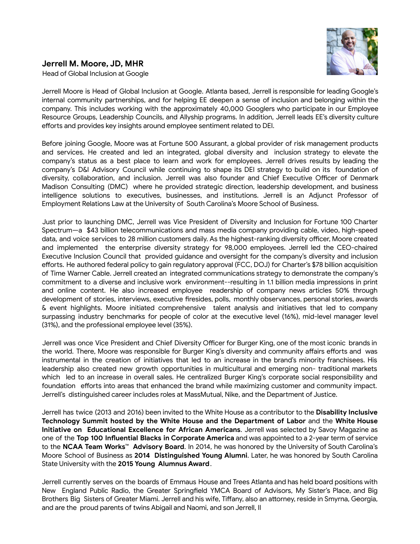

### **Jerrell M. Moore, JD, MHR**

Head of Global Inclusion at Google

Jerrell Moore is Head of Global Inclusion at Google. Atlanta based, Jerrell is responsible for leading Google's internal community partnerships, and for helping EE deepen a sense of inclusion and belonging within the company. This includes working with the approximately 40,000 Googlers who participate in our Employee Resource Groups, Leadership Councils, and Allyship programs. In addition, Jerrell leads EE's diversity culture efforts and provides key insights around employee sentiment related to DEI[.](https://moma.corp.google.com/u/1/person/aprilalvarez)

Before joining Google, Moore was at Fortune 500 Assurant, a global provider of risk management products and services. He created and led an integrated, global diversity and inclusion strategy to elevate the company's status as a best place to learn and work for employees. Jerrell drives results by leading the company's D&I Advisory Council while continuing to shape its DEI strategy to build on its foundation of diversity, collaboration, and inclusion. Jerrell was also founder and Chief Executive Officer of Denmark Madison Consulting (DMC) where he provided strategic direction, leadership development, and business intelligence solutions to executives, businesses, and institutions. Jerrell is an Adjunct Professor of Employment Relations Law at the University of South Carolina's Moore School of Business.

Just prior to launching DMC, Jerrell was Vice President of Diversity and Inclusion for Fortune 100 Charter Spectrum—a \$43 billion telecommunications and mass media company providing cable, video, high-speed data, and voice services to 28 million customers daily. As the highest-ranking diversity officer, Moore created and implemented the enterprise diversity strategy for 98,000 employees. Jerrell led the CEO-chaired Executive Inclusion Council that provided guidance and oversight for the company's diversity and inclusion efforts. He authored federal policy to gain regulatory approval (FCC, DOJ) for Charter's \$78 billion acquisition of Time Warner Cable. Jerrell created an integrated communications strategy to demonstrate the company's commitment to a diverse and inclusive work environment--resulting in 1.1 billion media impressions in print and online content. He also increased employee readership of company news articles 50% through development of stories, interviews, executive firesides, polls, monthly observances, personal stories, awards & event highlights. Moore initiated comprehensive talent analysis and initiatives that led to company surpassing industry benchmarks for people of color at the executive level (16%), mid-level manager level (31%), and the professional employee level (35%).

Jerrell was once Vice President and Chief Diversity Officer for Burger King, one of the most iconic brands in the world. There, Moore was responsible for Burger King's diversity and community affairs efforts and was instrumental in the creation of initiatives that led to an increase in the brand's minority franchisees. His leadership also created new growth opportunities in multicultural and emerging non- traditional markets which led to an increase in overall sales. He centralized Burger King's corporate social responsibility and foundation efforts into areas that enhanced the brand while maximizing customer and community impact. Jerrell's distinguished career includes roles at MassMutual, Nike, and the Department of Justice.

Jerrell has twice (2013 and 2016) been invited to the White House as a contributor to the **Disability Inclusive Technology Summit hosted by the White House and the Department of Labor** and the **White House Initiative on Educational Excellence for African Americans**. Jerrell was selected by Savoy Magazine as one of the **Top 100 Influential Blacks in Corporate America** and was appointed to a 2-year term of service to the **NCAA Team Works™ Advisory Board**. In 2014, he was honored by the University of South Carolina's Moore School of Business as **2014 Distinguished Young Alumni**. Later, he was honored by South Carolina State University with the **2015 Young Alumnus Award**.

Jerrell currently serves on the boards of Emmaus House and Trees Atlanta and has held board positions with New England Public Radio, the Greater Springfield YMCA Board of Advisors, My Sister's Place, and Big Brothers Big Sisters of Greater Miami. Jerrell and his wife, Tiffany, also an attorney, reside in Smyrna, Georgia, and are the proud parents of twins Abigail and Naomi, and son Jerrell, II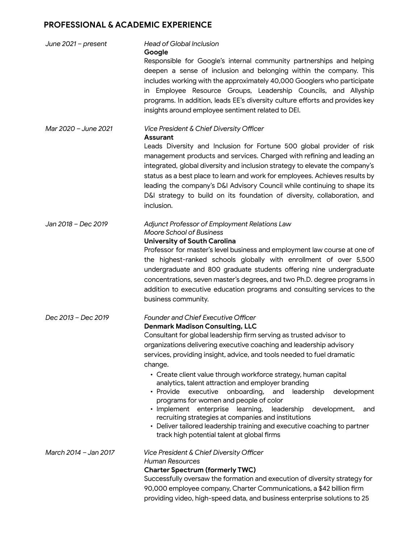# **PROFESSIONAL & ACADEMIC EXPERIENCE**

| June $2021$ – present | <b>Head of Global Inclusion</b><br>Google                                                                                                                                                                                                                                                                                                                                                                                                                                                                                                                                                                                                                                                                                                                                                                                             |
|-----------------------|---------------------------------------------------------------------------------------------------------------------------------------------------------------------------------------------------------------------------------------------------------------------------------------------------------------------------------------------------------------------------------------------------------------------------------------------------------------------------------------------------------------------------------------------------------------------------------------------------------------------------------------------------------------------------------------------------------------------------------------------------------------------------------------------------------------------------------------|
|                       | Responsible for Google's internal community partnerships and helping<br>deepen a sense of inclusion and belonging within the company. This<br>includes working with the approximately 40,000 Googlers who participate<br>in Employee Resource Groups, Leadership Councils, and Allyship<br>programs. In addition, leads EE's diversity culture efforts and provides key<br>insights around employee sentiment related to DEI.                                                                                                                                                                                                                                                                                                                                                                                                         |
| Mar 2020 - June 2021  | Vice President & Chief Diversity Officer<br><b>Assurant</b><br>Leads Diversity and Inclusion for Fortune 500 global provider of risk<br>management products and services. Charged with refining and leading an<br>integrated, global diversity and inclusion strategy to elevate the company's<br>status as a best place to learn and work for employees. Achieves results by<br>leading the company's D&I Advisory Council while continuing to shape its<br>D&I strategy to build on its foundation of diversity, collaboration, and<br>inclusion.                                                                                                                                                                                                                                                                                   |
| Jan 2018 - Dec 2019   | Adjunct Professor of Employment Relations Law<br><b>Moore School of Business</b><br><b>University of South Carolina</b><br>Professor for master's level business and employment law course at one of<br>the highest-ranked schools globally with enrollment of over 5,500<br>undergraduate and 800 graduate students offering nine undergraduate<br>concentrations, seven master's degrees, and two Ph.D. degree programs in<br>addition to executive education programs and consulting services to the<br>business community.                                                                                                                                                                                                                                                                                                        |
| Dec 2013 - Dec 2019   | <b>Founder and Chief Executive Officer</b><br><b>Denmark Madison Consulting, LLC</b><br>Consultant for global leadership firm serving as trusted advisor to<br>organizations delivering executive coaching and leadership advisory<br>services, providing insight, advice, and tools needed to fuel dramatic<br>change.<br>• Create client value through workforce strategy, human capital<br>analytics, talent attraction and employer branding<br>executive<br>onboarding,<br>• Provide<br>and<br>leadership<br>development<br>programs for women and people of color<br>· Implement enterprise<br>learning,<br>leadership<br>development,<br>and<br>recruiting strategies at companies and institutions<br>• Deliver tailored leadership training and executive coaching to partner<br>track high potential talent at global firms |
| March 2014 - Jan 2017 | Vice President & Chief Diversity Officer<br><b>Human Resources</b><br><b>Charter Spectrum (formerly TWC)</b><br>Successfully oversaw the formation and execution of diversity strategy for<br>90,000 employee company, Charter Communications, a \$42 billion firm<br>providing video, high-speed data, and business enterprise solutions to 25                                                                                                                                                                                                                                                                                                                                                                                                                                                                                       |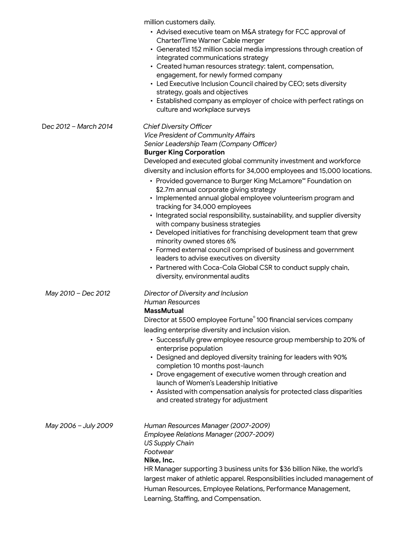million customers daily.

| • Advised executive team on M&A strategy for FCC approval of |
|--------------------------------------------------------------|
| Charter/Time Warner Cable merger                             |

- Generated 152 million social media impressions through creation of integrated communications strategy
- Created human resources strategy: talent, compensation, engagement, for newly formed company
- Led Executive Inclusion Council chaired by CEO; sets diversity strategy, goals and objectives
- Established company as employer of choice with perfect ratings on culture and workplace surveys

#### D*ec 2012 – March 2014 Chief Diversity Officer*

*Vice President of Community Affairs*

*Senior Leadership Team (Company Officer)*

#### **Burger King Corporation**

Developed and executed global community investment and workforce diversity and inclusion efforts for 34,000 employees and 15,000 locations.

- Provided governance to Burger King McLamore℠ Foundation on \$2.7m annual corporate giving strategy
- Implemented annual global employee volunteerism program and tracking for 34,000 employees
- Integrated social responsibility, sustainability, and supplier diversity with company business strategies
- Developed initiatives for franchising development team that grew minority owned stores 6%
- Formed external council comprised of business and government leaders to advise executives on diversity
- Partnered with Coca-Cola Global CSR to conduct supply chain, diversity, environmental audits

### *May 2010 – Dec 2012 Director of Diversity and Inclusion*

# *Human Resources*

**MassMutual**

Director at 5500 employee Fortune © 100 financial services company leading enterprise diversity and inclusion vision.

- Successfully grew employee resource group membership to 20% of enterprise population
- Designed and deployed diversity training for leaders with 90% completion 10 months post-launch
- Drove engagement of executive women through creation and launch of Women's Leadership Initiative
- Assisted with compensation analysis for protected class disparities and created strategy for adjustment
- *May 2006 – July 2009 Human Resources Manager (2007-2009) Employee Relations Manager (2007-2009) US Supply Chain Footwear* **Nike, Inc.** HR Manager supporting 3 business units for \$36 billion Nike, the world's largest maker of athletic apparel. Responsibilities included management of Human Resources, Employee Relations, Performance Management,

Learning, Staffing, and Compensation.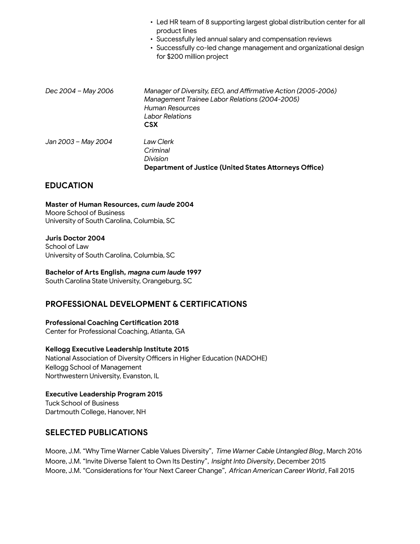|                     | • Led HR team of 8 supporting largest global distribution center for all<br>product lines<br>• Successfully led annual salary and compensation reviews<br>• Successfully co-led change management and organizational design<br>for \$200 million project |
|---------------------|----------------------------------------------------------------------------------------------------------------------------------------------------------------------------------------------------------------------------------------------------------|
| Dec 2004 - May 2006 | Manager of Diversity, EEO, and Affirmative Action (2005-2006)<br>Management Trainee Labor Relations (2004-2005)<br>Human Resources<br>Labor Relations<br><b>CSX</b>                                                                                      |
| Jan 2003 - May 2004 | Law Clerk<br>Criminal<br>Division<br><b>Department of Justice (United States Attorneys Office)</b>                                                                                                                                                       |

### **EDUCATION**

**Master of Human Resources,** *cum laude* **2004** Moore School of Business University of South Carolina, Columbia, SC

**Juris Doctor 2004** School of Law University of South Carolina, Columbia, SC

**Bachelor of Arts English,** *magna cum laude* **1997** South Carolina State University, Orangeburg, SC

### **PROFESSIONAL DEVELOPMENT & CERTIFICATIONS**

**Professional Coaching Certification 2018** Center for Professional Coaching, Atlanta, GA

**Kellogg Executive Leadership Institute 2015** National Association of Diversity Officers in Higher Education (NADOHE) Kellogg School of Management Northwestern University, Evanston, IL

**Executive Leadership Program 2015** Tuck School of Business Dartmouth College, Hanover, NH

### **SELECTED PUBLICATIONS**

Moore, J.M. "Why Time Warner Cable Values Diversity", *Time Warner Cable Untangled Blog*, March 2016 Moore, J.M. "Invite Diverse Talent to Own Its Destiny", *Insight Into Diversity*, December 2015 Moore, J.M. "Considerations for Your Next Career Change", *African American Career World*, Fall 2015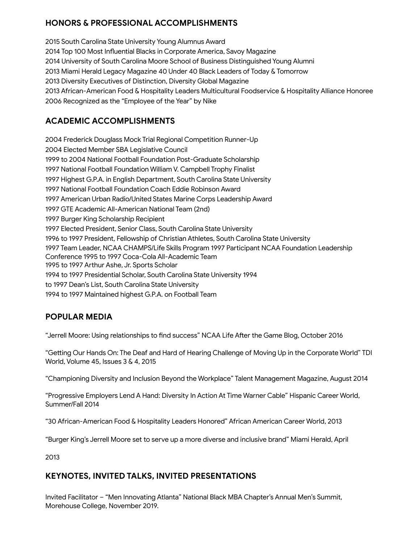# **HONORS & PROFESSIONAL ACCOMPLISHMENTS**

 South Carolina State University Young Alumnus Award Top 100 Most Influential Blacks in Corporate America, Savoy Magazine University of South Carolina Moore School of Business Distinguished Young Alumni Miami Herald Legacy Magazine 40 Under 40 Black Leaders of Today & Tomorrow Diversity Executives of Distinction, Diversity Global Magazine African-American Food & Hospitality Leaders Multicultural Foodservice & Hospitality Alliance Honoree Recognized as the "Employee of the Year" by Nike

# **ACADEMIC ACCOMPLISHMENTS**

 Frederick Douglass Mock Trial Regional Competition Runner-Up Elected Member SBA Legislative Council to 2004 National Football Foundation Post-Graduate Scholarship National Football Foundation William V. Campbell Trophy Finalist Highest G.P.A. in English Department, South Carolina State University National Football Foundation Coach Eddie Robinson Award American Urban Radio/United States Marine Corps Leadership Award GTE Academic All-American National Team (2nd) Burger King Scholarship Recipient Elected President, Senior Class, South Carolina State University to 1997 President, Fellowship of Christian Athletes, South Carolina State University Team Leader, NCAA CHAMPS/Life Skills Program 1997 Participant NCAA Foundation Leadership Conference 1995 to 1997 Coca-Cola All-Academic Team to 1997 Arthur Ashe, Jr. Sports Scholar to 1997 Presidential Scholar, South Carolina State University 1994 to 1997 Dean's List, South Carolina State University to 1997 Maintained highest G.P.A. on Football Team

# **POPULAR MEDIA**

"Jerrell Moore: Using relationships to find success" NCAA Life After the Game Blog, October 2016

"Getting Our Hands On: The Deaf and Hard of Hearing Challenge of Moving Up in the Corporate World" TDI World, Volume 45, Issues 3 & 4, 2015

"Championing Diversity and Inclusion Beyond the Workplace" Talent Management Magazine, August 2014

"Progressive Employers Lend A Hand: Diversity In Action At Time Warner Cable" Hispanic Career World, Summer/Fall 2014

"30 African-American Food & Hospitality Leaders Honored" African American Career World, 2013

"Burger King's Jerrell Moore set to serve up a more diverse and inclusive brand" Miami Herald, April

2013

### **KEYNOTES, INVITED TALKS, INVITED PRESENTATIONS**

Invited Facilitator – "Men Innovating Atlanta" National Black MBA Chapter's Annual Men's Summit, Morehouse College, November 2019.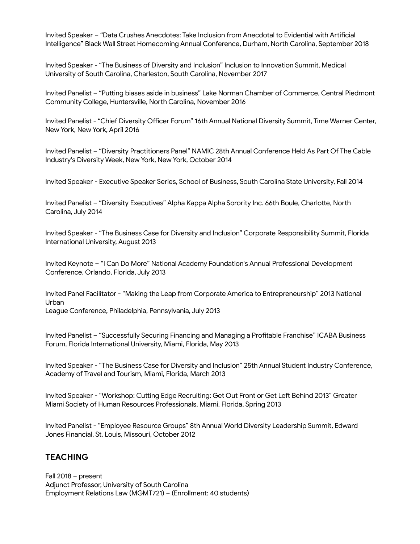Invited Speaker – "Data Crushes Anecdotes: Take Inclusion from Anecdotal to Evidential with Artificial Intelligence" Black Wall Street Homecoming Annual Conference, Durham, North Carolina, September 2018

Invited Speaker - "The Business of Diversity and Inclusion" Inclusion to Innovation Summit, Medical University of South Carolina, Charleston, South Carolina, November 2017

Invited Panelist – "Putting biases aside in business" Lake Norman Chamber of Commerce, Central Piedmont Community College, Huntersville, North Carolina, November 2016

Invited Panelist - "Chief Diversity Officer Forum" 16th Annual National Diversity Summit, Time Warner Center, New York, New York, April 2016

Invited Panelist – "Diversity Practitioners Panel" NAMIC 28th Annual Conference Held As Part Of The Cable Industry's Diversity Week, New York, New York, October 2014

Invited Speaker - Executive Speaker Series, School of Business, South Carolina State University, Fall 2014

Invited Panelist – "Diversity Executives" Alpha Kappa Alpha Sorority Inc. 66th Boule, Charlotte, North Carolina, July 2014

Invited Speaker - "The Business Case for Diversity and Inclusion" Corporate Responsibility Summit, Florida International University, August 2013

Invited Keynote – "I Can Do More" National Academy Foundation's Annual Professional Development Conference, Orlando, Florida, July 2013

Invited Panel Facilitator - "Making the Leap from Corporate America to Entrepreneurship" 2013 National Urban

League Conference, Philadelphia, Pennsylvania, July 2013

Invited Panelist – "Successfully Securing Financing and Managing a Profitable Franchise" ICABA Business Forum, Florida International University, Miami, Florida, May 2013

Invited Speaker - "The Business Case for Diversity and Inclusion" 25th Annual Student Industry Conference, Academy of Travel and Tourism, Miami, Florida, March 2013

Invited Speaker - "Workshop: Cutting Edge Recruiting: Get Out Front or Get Left Behind 2013" Greater Miami Society of Human Resources Professionals, Miami, Florida, Spring 2013

Invited Panelist - "Employee Resource Groups" 8th Annual World Diversity Leadership Summit, Edward Jones Financial, St. Louis, Missouri, October 2012

### **TEACHING**

Fall 2018 – present Adjunct Professor, University of South Carolina Employment Relations Law (MGMT721) – (Enrollment: 40 students)